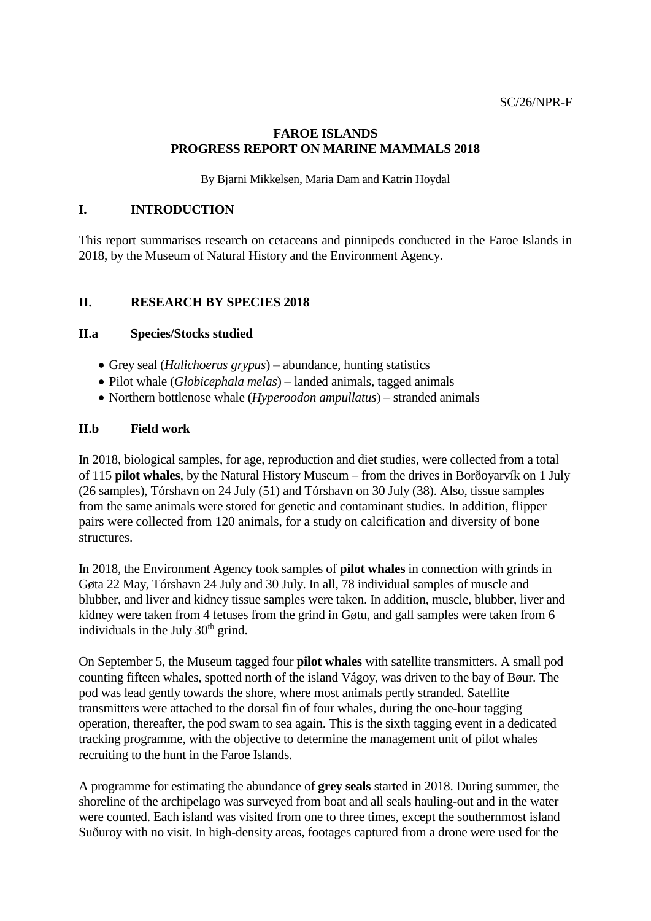### **FAROE ISLANDS PROGRESS REPORT ON MARINE MAMMALS 2018**

By Bjarni Mikkelsen, Maria Dam and Katrin Hoydal

### **I. INTRODUCTION**

This report summarises research on cetaceans and pinnipeds conducted in the Faroe Islands in 2018, by the Museum of Natural History and the Environment Agency.

## **II. RESEARCH BY SPECIES 2018**

### **II.a Species/Stocks studied**

- Grey seal (*Halichoerus grypus*) abundance, hunting statistics
- Pilot whale (*Globicephala melas*) landed animals, tagged animals
- Northern bottlenose whale (*Hyperoodon ampullatus*) stranded animals

### **II.b Field work**

In 2018, biological samples, for age, reproduction and diet studies, were collected from a total of 115 **pilot whales**, by the Natural History Museum – from the drives in Borðoyarvík on 1 July (26 samples), Tórshavn on 24 July (51) and Tórshavn on 30 July (38). Also, tissue samples from the same animals were stored for genetic and contaminant studies. In addition, flipper pairs were collected from 120 animals, for a study on calcification and diversity of bone structures.

In 2018, the Environment Agency took samples of **pilot whales** in connection with grinds in Gøta 22 May, Tórshavn 24 July and 30 July. In all, 78 individual samples of muscle and blubber, and liver and kidney tissue samples were taken. In addition, muscle, blubber, liver and kidney were taken from 4 fetuses from the grind in Gøtu, and gall samples were taken from 6 individuals in the July  $30<sup>th</sup>$  grind.

On September 5, the Museum tagged four **pilot whales** with satellite transmitters. A small pod counting fifteen whales, spotted north of the island Vágoy, was driven to the bay of Bøur. The pod was lead gently towards the shore, where most animals pertly stranded. Satellite transmitters were attached to the dorsal fin of four whales, during the one-hour tagging operation, thereafter, the pod swam to sea again. This is the sixth tagging event in a dedicated tracking programme, with the objective to determine the management unit of pilot whales recruiting to the hunt in the Faroe Islands.

A programme for estimating the abundance of **grey seals** started in 2018. During summer, the shoreline of the archipelago was surveyed from boat and all seals hauling-out and in the water were counted. Each island was visited from one to three times, except the southernmost island Suðuroy with no visit. In high-density areas, footages captured from a drone were used for the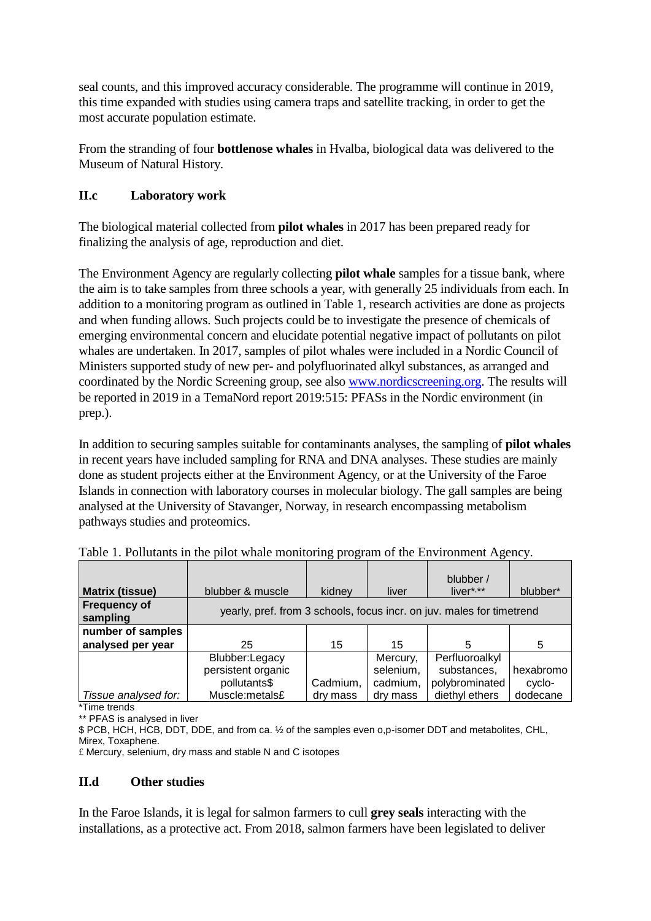seal counts, and this improved accuracy considerable. The programme will continue in 2019, this time expanded with studies using camera traps and satellite tracking, in order to get the most accurate population estimate.

From the stranding of four **bottlenose whales** in Hvalba, biological data was delivered to the Museum of Natural History.

## **II.c Laboratory work**

The biological material collected from **pilot whales** in 2017 has been prepared ready for finalizing the analysis of age, reproduction and diet.

The Environment Agency are regularly collecting **pilot whale** samples for a tissue bank, where the aim is to take samples from three schools a year, with generally 25 individuals from each. In addition to a monitoring program as outlined in Table 1, research activities are done as projects and when funding allows. Such projects could be to investigate the presence of chemicals of emerging environmental concern and elucidate potential negative impact of pollutants on pilot whales are undertaken. In 2017, samples of pilot whales were included in a Nordic Council of Ministers supported study of new per- and polyfluorinated alkyl substances, as arranged and coordinated by the Nordic Screening group, see also [www.nordicscreening.org.](http://www.nordicscreening.org/) The results will be reported in 2019 in a TemaNord report 2019:515: PFASs in the Nordic environment (in prep.).

In addition to securing samples suitable for contaminants analyses, the sampling of **pilot whales** in recent years have included sampling for RNA and DNA analyses. These studies are mainly done as student projects either at the Environment Agency, or at the University of the Faroe Islands in connection with laboratory courses in molecular biology. The gall samples are being analysed at the University of Stavanger, Norway, in research encompassing metabolism pathways studies and proteomics.

| <b>Matrix (tissue)</b>          | blubber & muscle                                                      | kidney   | liver     | blubber /<br>$liver**$ | blubber*  |
|---------------------------------|-----------------------------------------------------------------------|----------|-----------|------------------------|-----------|
| <b>Frequency of</b><br>sampling | yearly, pref. from 3 schools, focus incr. on juv. males for timetrend |          |           |                        |           |
| number of samples               |                                                                       |          |           |                        |           |
| analysed per year               | 25                                                                    | 15       | 15        | 5                      | -5        |
|                                 | Blubber:Legacy                                                        |          | Mercury,  | Perfluoroalkyl         |           |
|                                 | persistent organic                                                    |          | selenium, | substances,            | hexabromo |
|                                 | pollutants\$                                                          | Cadmium, | cadmium,  | polybrominated         | cyclo-    |
| Tissue analysed for:            | Muscle:metals£                                                        | dry mass | dry mass  | diethyl ethers         | dodecane  |

Table 1. Pollutants in the pilot whale monitoring program of the Environment Agency.

\*Time trends \*\* PFAS is analysed in liver

\$ PCB, HCH, HCB, DDT, DDE, and from ca. ½ of the samples even o,p-isomer DDT and metabolites, CHL, Mirex, Toxaphene.

£ Mercury, selenium, dry mass and stable N and C isotopes

#### **II.d Other studies**

In the Faroe Islands, it is legal for salmon farmers to cull **grey seals** interacting with the installations, as a protective act. From 2018, salmon farmers have been legislated to deliver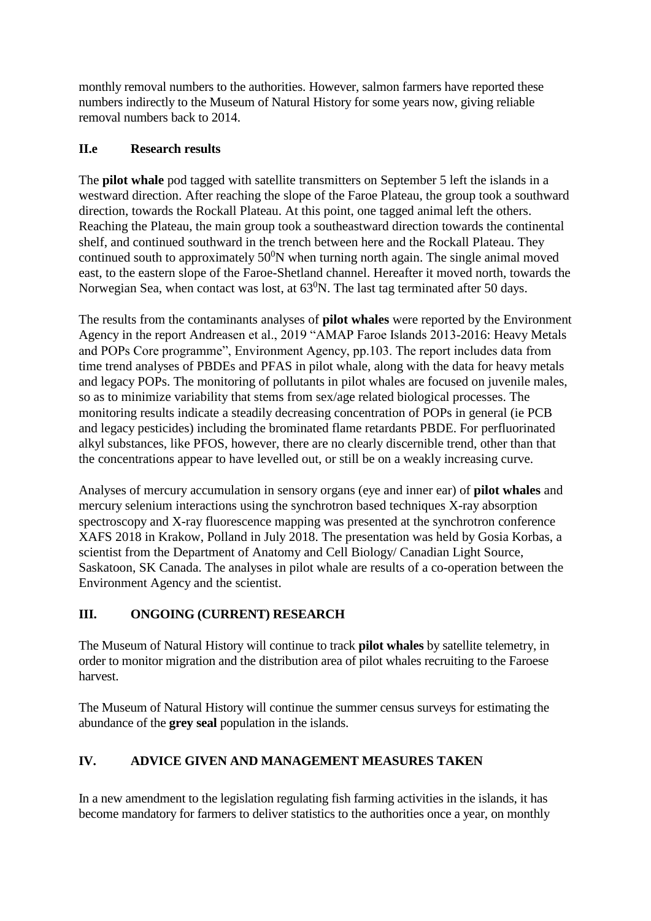monthly removal numbers to the authorities. However, salmon farmers have reported these numbers indirectly to the Museum of Natural History for some years now, giving reliable removal numbers back to 2014.

## **II.e Research results**

The **pilot whale** pod tagged with satellite transmitters on September 5 left the islands in a westward direction. After reaching the slope of the Faroe Plateau, the group took a southward direction, towards the Rockall Plateau. At this point, one tagged animal left the others. Reaching the Plateau, the main group took a southeastward direction towards the continental shelf, and continued southward in the trench between here and the Rockall Plateau. They continued south to approximately  $50^{\circ}$ N when turning north again. The single animal moved east, to the eastern slope of the Faroe-Shetland channel. Hereafter it moved north, towards the Norwegian Sea, when contact was lost, at  $63^0$ N. The last tag terminated after 50 days.

The results from the contaminants analyses of **pilot whales** were reported by the Environment Agency in the report Andreasen et al., 2019 "AMAP Faroe Islands 2013-2016: Heavy Metals and POPs Core programme", Environment Agency, pp.103. The report includes data from time trend analyses of PBDEs and PFAS in pilot whale, along with the data for heavy metals and legacy POPs. The monitoring of pollutants in pilot whales are focused on juvenile males, so as to minimize variability that stems from sex/age related biological processes. The monitoring results indicate a steadily decreasing concentration of POPs in general (ie PCB and legacy pesticides) including the brominated flame retardants PBDE. For perfluorinated alkyl substances, like PFOS, however, there are no clearly discernible trend, other than that the concentrations appear to have levelled out, or still be on a weakly increasing curve.

Analyses of mercury accumulation in sensory organs (eye and inner ear) of **pilot whales** and mercury selenium interactions using the synchrotron based techniques X-ray absorption spectroscopy and X-ray fluorescence mapping was presented at the synchrotron conference XAFS 2018 in Krakow, Polland in July 2018. The presentation was held by Gosia Korbas, a scientist from the Department of Anatomy and Cell Biology/ Canadian Light Source, Saskatoon, SK Canada. The analyses in pilot whale are results of a co-operation between the Environment Agency and the scientist.

# **III. ONGOING (CURRENT) RESEARCH**

The Museum of Natural History will continue to track **pilot whales** by satellite telemetry, in order to monitor migration and the distribution area of pilot whales recruiting to the Faroese harvest.

The Museum of Natural History will continue the summer census surveys for estimating the abundance of the **grey seal** population in the islands.

# **IV. ADVICE GIVEN AND MANAGEMENT MEASURES TAKEN**

In a new amendment to the legislation regulating fish farming activities in the islands, it has become mandatory for farmers to deliver statistics to the authorities once a year, on monthly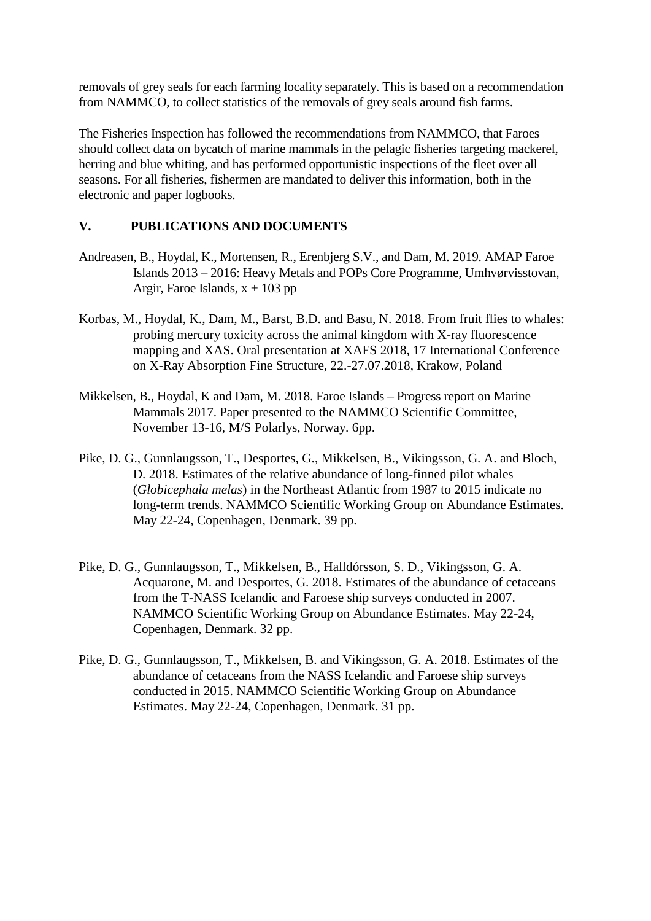removals of grey seals for each farming locality separately. This is based on a recommendation from NAMMCO, to collect statistics of the removals of grey seals around fish farms.

The Fisheries Inspection has followed the recommendations from NAMMCO, that Faroes should collect data on bycatch of marine mammals in the pelagic fisheries targeting mackerel, herring and blue whiting, and has performed opportunistic inspections of the fleet over all seasons. For all fisheries, fishermen are mandated to deliver this information, both in the electronic and paper logbooks.

### **V. PUBLICATIONS AND DOCUMENTS**

- Andreasen, B., Hoydal, K., Mortensen, R., Erenbjerg S.V., and Dam, M. 2019. AMAP Faroe Islands 2013 – 2016: Heavy Metals and POPs Core Programme, Umhvørvisstovan, Argir, Faroe Islands,  $x + 103$  pp
- Korbas, M., Hoydal, K., Dam, M., Barst, B.D. and Basu, N. 2018. From fruit flies to whales: probing mercury toxicity across the animal kingdom with X-ray fluorescence mapping and XAS. Oral presentation at XAFS 2018, 17 International Conference on X-Ray Absorption Fine Structure, 22.-27.07.2018, Krakow, Poland
- Mikkelsen, B., Hoydal, K and Dam, M. 2018. Faroe Islands Progress report on Marine Mammals 2017. Paper presented to the NAMMCO Scientific Committee, November 13-16, M/S Polarlys, Norway. 6pp.
- Pike, D. G., Gunnlaugsson, T., Desportes, G., Mikkelsen, B., Vikingsson, G. A. and Bloch, D. 2018. Estimates of the relative abundance of long-finned pilot whales (*Globicephala melas*) in the Northeast Atlantic from 1987 to 2015 indicate no long-term trends. NAMMCO Scientific Working Group on Abundance Estimates. May 22-24, Copenhagen, Denmark. 39 pp.
- Pike, D. G., Gunnlaugsson, T., Mikkelsen, B., Halldórsson, S. D., Vikingsson, G. A. Acquarone, M. and Desportes, G. 2018. Estimates of the abundance of cetaceans from the T-NASS Icelandic and Faroese ship surveys conducted in 2007. NAMMCO Scientific Working Group on Abundance Estimates. May 22-24, Copenhagen, Denmark. 32 pp.
- Pike, D. G., Gunnlaugsson, T., Mikkelsen, B. and Vikingsson, G. A. 2018. Estimates of the abundance of cetaceans from the NASS Icelandic and Faroese ship surveys conducted in 2015. NAMMCO Scientific Working Group on Abundance Estimates. May 22-24, Copenhagen, Denmark. 31 pp.